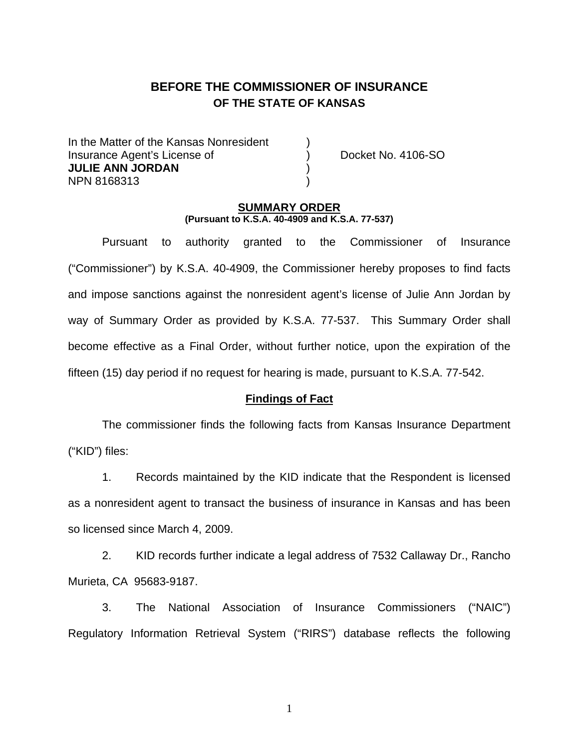# **BEFORE THE COMMISSIONER OF INSURANCE OF THE STATE OF KANSAS**

In the Matter of the Kansas Nonresident Insurance Agent's License of ) Docket No. 4106-SO **JULIE ANN JORDAN** ) NPN 8168313 )

#### **SUMMARY ORDER (Pursuant to K.S.A. 40-4909 and K.S.A. 77-537)**

 Pursuant to authority granted to the Commissioner of Insurance ("Commissioner") by K.S.A. 40-4909, the Commissioner hereby proposes to find facts and impose sanctions against the nonresident agent's license of Julie Ann Jordan by way of Summary Order as provided by K.S.A. 77-537. This Summary Order shall become effective as a Final Order, without further notice, upon the expiration of the fifteen (15) day period if no request for hearing is made, pursuant to K.S.A. 77-542.

#### **Findings of Fact**

 The commissioner finds the following facts from Kansas Insurance Department ("KID") files:

 1. Records maintained by the KID indicate that the Respondent is licensed as a nonresident agent to transact the business of insurance in Kansas and has been so licensed since March 4, 2009.

 2. KID records further indicate a legal address of 7532 Callaway Dr., Rancho Murieta, CA 95683-9187.

 3. The National Association of Insurance Commissioners ("NAIC") Regulatory Information Retrieval System ("RIRS") database reflects the following

1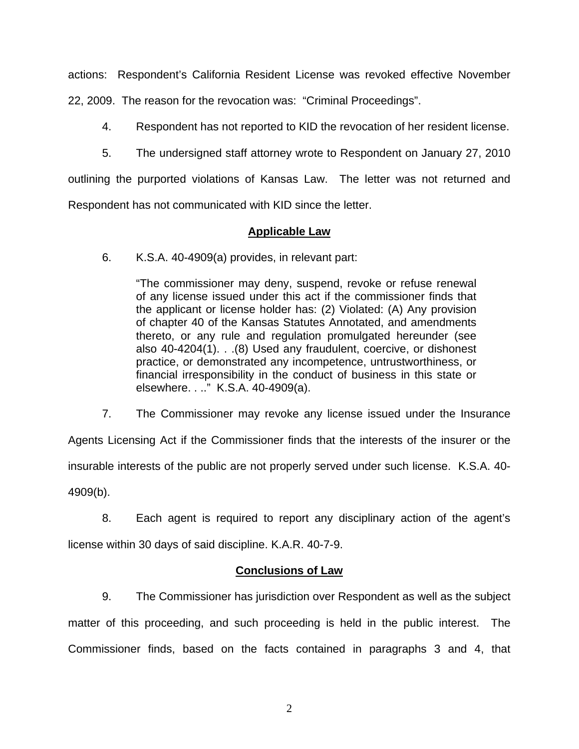actions: Respondent's California Resident License was revoked effective November

22, 2009. The reason for the revocation was: "Criminal Proceedings".

- 4. Respondent has not reported to KID the revocation of her resident license.
- 5. The undersigned staff attorney wrote to Respondent on January 27, 2010

outlining the purported violations of Kansas Law. The letter was not returned and

Respondent has not communicated with KID since the letter.

## **Applicable Law**

6. K.S.A. 40-4909(a) provides, in relevant part:

"The commissioner may deny, suspend, revoke or refuse renewal of any license issued under this act if the commissioner finds that the applicant or license holder has: (2) Violated: (A) Any provision of chapter 40 of the Kansas Statutes Annotated, and amendments thereto, or any rule and regulation promulgated hereunder (see also 40-4204(1). . .(8) Used any fraudulent, coercive, or dishonest practice, or demonstrated any incompetence, untrustworthiness, or financial irresponsibility in the conduct of business in this state or elsewhere. . .." K.S.A. 40-4909(a).

 7. The Commissioner may revoke any license issued under the Insurance Agents Licensing Act if the Commissioner finds that the interests of the insurer or the insurable interests of the public are not properly served under such license. K.S.A. 40- 4909(b).

 8. Each agent is required to report any disciplinary action of the agent's license within 30 days of said discipline. K.A.R. 40-7-9.

## **Conclusions of Law**

 9. The Commissioner has jurisdiction over Respondent as well as the subject matter of this proceeding, and such proceeding is held in the public interest. The Commissioner finds, based on the facts contained in paragraphs 3 and 4, that

2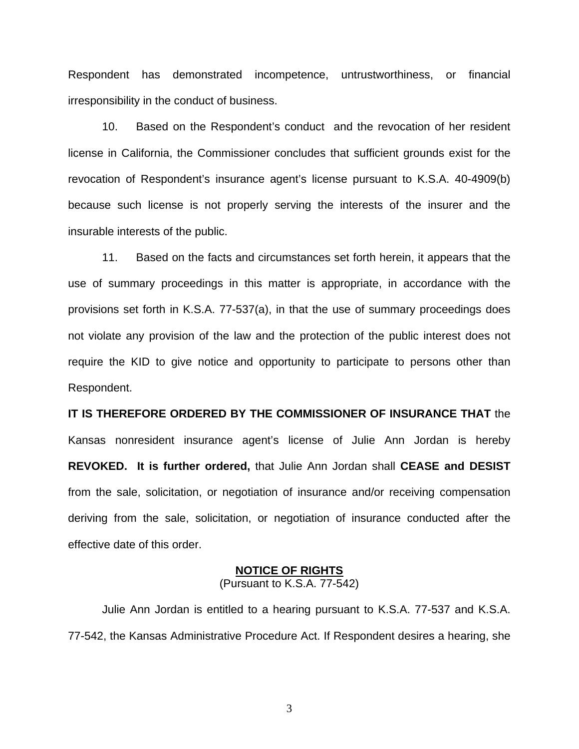Respondent has demonstrated incompetence, untrustworthiness, or financial irresponsibility in the conduct of business.

 10. Based on the Respondent's conduct and the revocation of her resident license in California, the Commissioner concludes that sufficient grounds exist for the revocation of Respondent's insurance agent's license pursuant to K.S.A. 40-4909(b) because such license is not properly serving the interests of the insurer and the insurable interests of the public.

 11. Based on the facts and circumstances set forth herein, it appears that the use of summary proceedings in this matter is appropriate, in accordance with the provisions set forth in K.S.A. 77-537(a), in that the use of summary proceedings does not violate any provision of the law and the protection of the public interest does not require the KID to give notice and opportunity to participate to persons other than Respondent.

**IT IS THEREFORE ORDERED BY THE COMMISSIONER OF INSURANCE THAT** the Kansas nonresident insurance agent's license of Julie Ann Jordan is hereby **REVOKED. It is further ordered,** that Julie Ann Jordan shall **CEASE and DESIST** from the sale, solicitation, or negotiation of insurance and/or receiving compensation deriving from the sale, solicitation, or negotiation of insurance conducted after the effective date of this order.

#### **NOTICE OF RIGHTS** (Pursuant to K.S.A. 77-542)

Julie Ann Jordan is entitled to a hearing pursuant to K.S.A. 77-537 and K.S.A. 77-542, the Kansas Administrative Procedure Act. If Respondent desires a hearing, she

3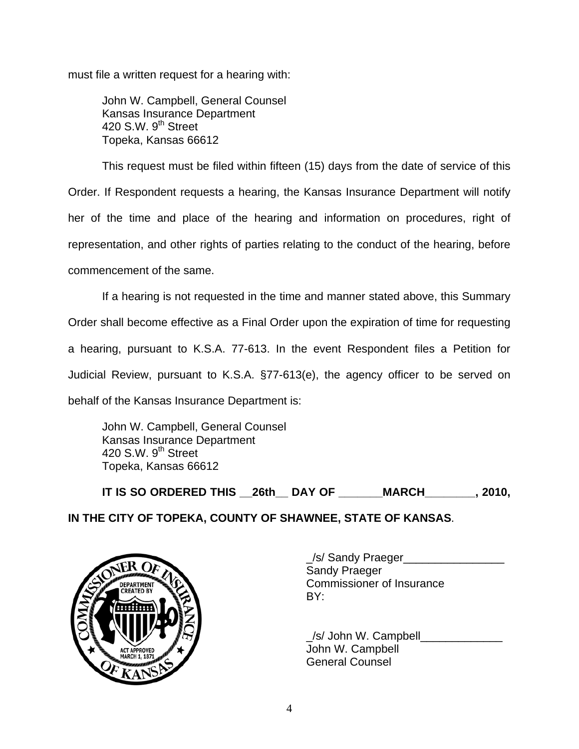must file a written request for a hearing with:

 John W. Campbell, General Counsel Kansas Insurance Department 420 S.W.  $9^{th}$  Street Topeka, Kansas 66612

This request must be filed within fifteen (15) days from the date of service of this Order. If Respondent requests a hearing, the Kansas Insurance Department will notify her of the time and place of the hearing and information on procedures, right of representation, and other rights of parties relating to the conduct of the hearing, before commencement of the same.

If a hearing is not requested in the time and manner stated above, this Summary Order shall become effective as a Final Order upon the expiration of time for requesting a hearing, pursuant to K.S.A. 77-613. In the event Respondent files a Petition for Judicial Review, pursuant to K.S.A. §77-613(e), the agency officer to be served on behalf of the Kansas Insurance Department is:

 John W. Campbell, General Counsel Kansas Insurance Department 420 S.W.  $9<sup>th</sup>$  Street Topeka, Kansas 66612

 **IT IS SO ORDERED THIS \_\_26th\_\_ DAY OF \_\_\_\_\_\_\_MARCH\_\_\_\_\_\_\_\_, 2010,** 





 \_/s/ Sandy Praeger\_\_\_\_\_\_\_\_\_\_\_\_\_\_\_\_ Sandy Praeger DEPARTMENT VAN COMMISSIONER OF INSURANCE

> /s/ John W. Campbell John W. Campbell General Counsel